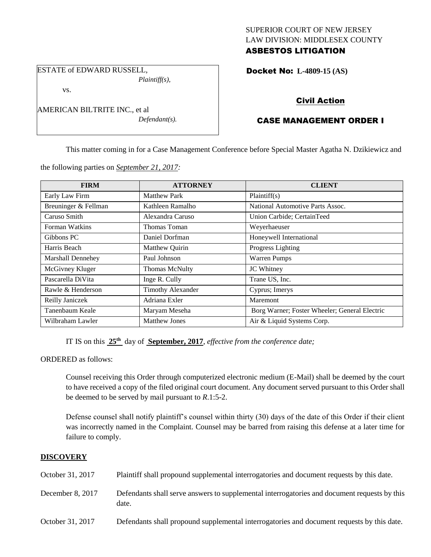## SUPERIOR COURT OF NEW JERSEY LAW DIVISION: MIDDLESEX COUNTY ASBESTOS LITIGATION

ESTATE of EDWARD RUSSELL, *Plaintiff(s),*

vs.

AMERICAN BILTRITE INC., et al *Defendant(s).* Docket No: **L-4809-15 (AS)** 

# Civil Action

# CASE MANAGEMENT ORDER I

This matter coming in for a Case Management Conference before Special Master Agatha N. Dzikiewicz and

the following parties on *September 21, 2017:*

| <b>FIRM</b>          | <b>ATTORNEY</b>          | <b>CLIENT</b>                                 |
|----------------------|--------------------------|-----------------------------------------------|
| Early Law Firm       | <b>Matthew Park</b>      | Plaintiff(s)                                  |
| Breuninger & Fellman | Kathleen Ramalho         | National Automotive Parts Assoc.              |
| Caruso Smith         | Alexandra Caruso         | Union Carbide; CertainTeed                    |
| Forman Watkins       | Thomas Toman             | Weyerhaeuser                                  |
| Gibbons PC           | Daniel Dorfman           | Honeywell International                       |
| Harris Beach         | Matthew Quirin           | Progress Lighting                             |
| Marshall Dennehey    | Paul Johnson             | Warren Pumps                                  |
| McGivney Kluger      | <b>Thomas McNulty</b>    | JC Whitney                                    |
| Pascarella DiVita    | Inge R. Cully            | Trane US, Inc.                                |
| Rawle & Henderson    | <b>Timothy Alexander</b> | Cyprus; Imerys                                |
| Reilly Janiczek      | Adriana Exler            | Maremont                                      |
| Tanenbaum Keale      | Maryam Meseha            | Borg Warner; Foster Wheeler; General Electric |
| Wilbraham Lawler     | <b>Matthew Jones</b>     | Air & Liquid Systems Corp.                    |

IT IS on this **25th** day of **September, 2017**, *effective from the conference date;*

ORDERED as follows:

Counsel receiving this Order through computerized electronic medium (E-Mail) shall be deemed by the court to have received a copy of the filed original court document. Any document served pursuant to this Order shall be deemed to be served by mail pursuant to *R*.1:5-2.

Defense counsel shall notify plaintiff's counsel within thirty (30) days of the date of this Order if their client was incorrectly named in the Complaint. Counsel may be barred from raising this defense at a later time for failure to comply.

## **DISCOVERY**

| October 31, 2017 | Plaintiff shall propound supplemental interrogatories and document requests by this date.             |
|------------------|-------------------------------------------------------------------------------------------------------|
| December 8, 2017 | Defendants shall serve answers to supplemental interrogatories and document requests by this<br>date. |
| October 31, 2017 | Defendants shall propound supplemental interrogatories and document requests by this date.            |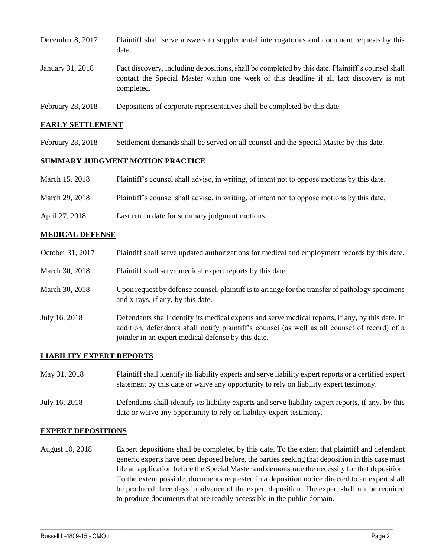| December 8, 2017  | Plaintiff shall serve answers to supplemental interrogatories and document requests by this<br>date.                                                                                                        |
|-------------------|-------------------------------------------------------------------------------------------------------------------------------------------------------------------------------------------------------------|
| January 31, 2018  | Fact discovery, including depositions, shall be completed by this date. Plaintiff's counsel shall<br>contact the Special Master within one week of this deadline if all fact discovery is not<br>completed. |
| February 28, 2018 | Depositions of corporate representatives shall be completed by this date.                                                                                                                                   |

#### **EARLY SETTLEMENT**

February 28, 2018 Settlement demands shall be served on all counsel and the Special Master by this date.

#### **SUMMARY JUDGMENT MOTION PRACTICE**

| March 15, 2018 | Plaintiff's counsel shall advise, in writing, of intent not to oppose motions by this date. |
|----------------|---------------------------------------------------------------------------------------------|
|                |                                                                                             |

- March 29, 2018 Plaintiff's counsel shall advise, in writing, of intent not to oppose motions by this date.
- April 27, 2018 Last return date for summary judgment motions.

#### **MEDICAL DEFENSE**

October 31, 2017 Plaintiff shall serve updated authorizations for medical and employment records by this date. March 30, 2018 Plaint if shall serve medical expert reports by this date. March 30, 2018 Upon request by defense counsel, plaintiff is to arrange for the transfer of pathology specimens and x-rays, if any, by this date. July 16, 2018 Defendants shall identify its medical experts and serve medical reports, if any, by this date. In addition, defendants shall notify plaintiff's counsel (as well as all counsel of record) of a joinder in an expert medical defense by this date.

### **LIABILITY EXPERT REPORTS**

| May 31, 2018  | Plaintiff shall identify its liability experts and serve liability expert reports or a certified expert<br>statement by this date or waive any opportunity to rely on liability expert testimony. |
|---------------|---------------------------------------------------------------------------------------------------------------------------------------------------------------------------------------------------|
| July 16, 2018 | Defendants shall identify its liability experts and serve liability expert reports, if any, by this<br>date or waive any opportunity to rely on liability expert testimony.                       |

### **EXPERT DEPOSITIONS**

August 10, 2018 Expert depositions shall be completed by this date. To the extent that plaintiff and defendant generic experts have been deposed before, the parties seeking that deposition in this case must file an application before the Special Master and demonstrate the necessity for that deposition. To the extent possible, documents requested in a deposition notice directed to an expert shall be produced three days in advance of the expert deposition. The expert shall not be required to produce documents that are readily accessible in the public domain.

 $\_$  ,  $\_$  ,  $\_$  ,  $\_$  ,  $\_$  ,  $\_$  ,  $\_$  ,  $\_$  ,  $\_$  ,  $\_$  ,  $\_$  ,  $\_$  ,  $\_$  ,  $\_$  ,  $\_$  ,  $\_$  ,  $\_$  ,  $\_$  ,  $\_$  ,  $\_$  ,  $\_$  ,  $\_$  ,  $\_$  ,  $\_$  ,  $\_$  ,  $\_$  ,  $\_$  ,  $\_$  ,  $\_$  ,  $\_$  ,  $\_$  ,  $\_$  ,  $\_$  ,  $\_$  ,  $\_$  ,  $\_$  ,  $\_$  ,